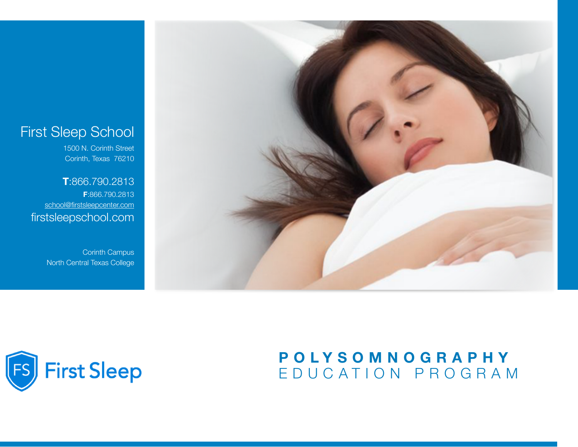## First Sleep School

1500 N. Corinth Street Corinth, Texas 76210

**T**:866.790.2813 **F**:866.790.2813 [school@firstsleepcenter.com](mailto:school@firstsleepcenter.com) firstsleepschool.com

> Corinth Campus North Central Texas College





## **POLYSOMNOGRAPHY**  EDUCATION PROGRAM